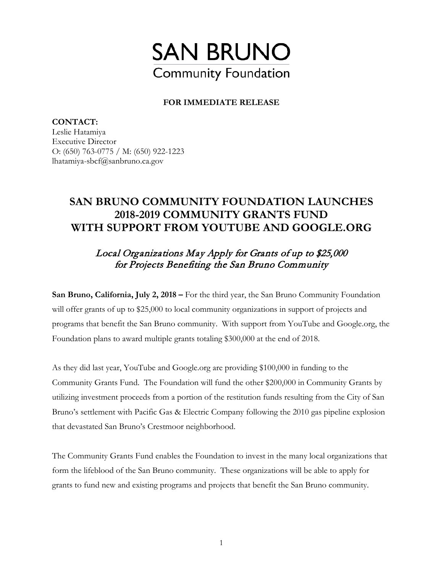

## **FOR IMMEDIATE RELEASE**

**CONTACT:**  Leslie Hatamiya Executive Director O: (650) 763-0775 / M: (650) 922-1223 lhatamiya-sbcf@sanbruno.ca.gov

## **SAN BRUNO COMMUNITY FOUNDATION LAUNCHES 2018-2019 COMMUNITY GRANTS FUND WITH SUPPORT FROM YOUTUBE AND GOOGLE.ORG**

## Local Organizations May Apply for Grants of up to \$25,000 for Projects Benefiting the San Bruno Community

**San Bruno, California, July 2, 2018 –** For the third year, the San Bruno Community Foundation will offer grants of up to \$25,000 to local community organizations in support of projects and programs that benefit the San Bruno community. With support from YouTube and Google.org, the Foundation plans to award multiple grants totaling \$300,000 at the end of 2018.

As they did last year, YouTube and Google.org are providing \$100,000 in funding to the Community Grants Fund. The Foundation will fund the other \$200,000 in Community Grants by utilizing investment proceeds from a portion of the restitution funds resulting from the City of San Bruno's settlement with Pacific Gas & Electric Company following the 2010 gas pipeline explosion that devastated San Bruno's Crestmoor neighborhood.

The Community Grants Fund enables the Foundation to invest in the many local organizations that form the lifeblood of the San Bruno community. These organizations will be able to apply for grants to fund new and existing programs and projects that benefit the San Bruno community.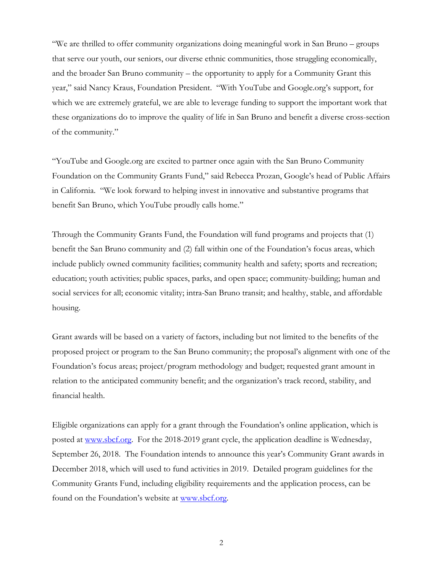"We are thrilled to offer community organizations doing meaningful work in San Bruno – groups that serve our youth, our seniors, our diverse ethnic communities, those struggling economically, and the broader San Bruno community – the opportunity to apply for a Community Grant this year," said Nancy Kraus, Foundation President. "With YouTube and Google.org's support, for which we are extremely grateful, we are able to leverage funding to support the important work that these organizations do to improve the quality of life in San Bruno and benefit a diverse cross-section of the community."

"YouTube and Google.org are excited to partner once again with the San Bruno Community Foundation on the Community Grants Fund," said Rebecca Prozan, Google's head of Public Affairs in California. "We look forward to helping invest in innovative and substantive programs that benefit San Bruno, which YouTube proudly calls home."

Through the Community Grants Fund, the Foundation will fund programs and projects that (1) benefit the San Bruno community and (2) fall within one of the Foundation's focus areas, which include publicly owned community facilities; community health and safety; sports and recreation; education; youth activities; public spaces, parks, and open space; community-building; human and social services for all; economic vitality; intra-San Bruno transit; and healthy, stable, and affordable housing.

Grant awards will be based on a variety of factors, including but not limited to the benefits of the proposed project or program to the San Bruno community; the proposal's alignment with one of the Foundation's focus areas; project/program methodology and budget; requested grant amount in relation to the anticipated community benefit; and the organization's track record, stability, and financial health.

Eligible organizations can apply for a grant through the Foundation's online application, which is posted at [www.sbcf.org.](http://www.sbcf.org/) For the 2018-2019 grant cycle, the application deadline is Wednesday, September 26, 2018. The Foundation intends to announce this year's Community Grant awards in December 2018, which will used to fund activities in 2019. Detailed program guidelines for the Community Grants Fund, including eligibility requirements and the application process, can be found on the Foundation's website at [www.sbcf.org.](http://www.sbcf.org/) 

2